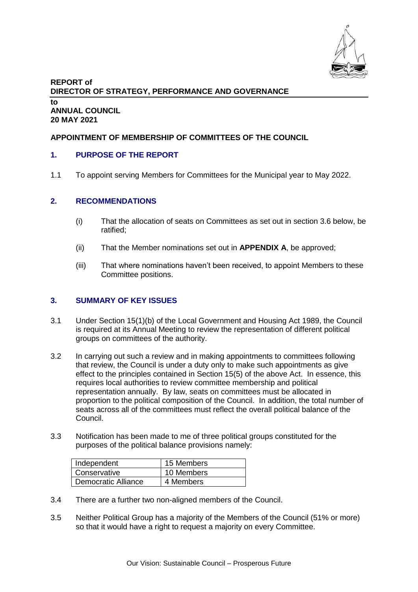

# **REPORT of DIRECTOR OF STRATEGY, PERFORMANCE AND GOVERNANCE to ANNUAL COUNCIL 20 MAY 2021**

# **APPOINTMENT OF MEMBERSHIP OF COMMITTEES OF THE COUNCIL**

### **1. PURPOSE OF THE REPORT**

1.1 To appoint serving Members for Committees for the Municipal year to May 2022.

#### **2. RECOMMENDATIONS**

- (i) That the allocation of seats on Committees as set out in section 3.6 below, be ratified;
- (ii) That the Member nominations set out in **APPENDIX A**, be approved;
- (iii) That where nominations haven't been received, to appoint Members to these Committee positions.

#### **3. SUMMARY OF KEY ISSUES**

- 3.1 Under Section 15(1)(b) of the Local Government and Housing Act 1989, the Council is required at its Annual Meeting to review the representation of different political groups on committees of the authority.
- 3.2 In carrying out such a review and in making appointments to committees following that review, the Council is under a duty only to make such appointments as give effect to the principles contained in Section 15(5) of the above Act. In essence, this requires local authorities to review committee membership and political representation annually. By law, seats on committees must be allocated in proportion to the political composition of the Council. In addition, the total number of seats across all of the committees must reflect the overall political balance of the Council.
- 3.3 Notification has been made to me of three political groups constituted for the purposes of the political balance provisions namely:

| Independent         | 15 Members |
|---------------------|------------|
| Conservative        | 10 Members |
| Democratic Alliance | 4 Members  |

- 3.4 There are a further two non-aligned members of the Council.
- 3.5 Neither Political Group has a majority of the Members of the Council (51% or more) so that it would have a right to request a majority on every Committee.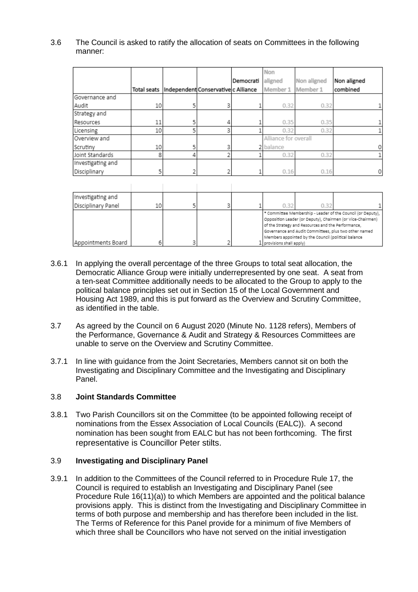3.6 The Council is asked to ratify the allocation of seats on Committees in the following manner:

|                   |    |   |                                                 |           | Non                  |             |             |
|-------------------|----|---|-------------------------------------------------|-----------|----------------------|-------------|-------------|
|                   |    |   |                                                 | Democrati | aligned              | Non aligned | Non aligned |
|                   |    |   | Total seats Independent Conservative c Alliance |           | Member 1             | Member 1    | combined    |
| Governance and    |    |   |                                                 |           |                      |             |             |
| Audit             | 10 |   | 3                                               |           | 0.32                 | 0.32        | 1           |
| Strategy and      |    |   |                                                 |           |                      |             |             |
| Resources         | 11 |   |                                                 |           | 0.35                 | 0.35        |             |
| Licensing         | 10 | 5 | 3                                               |           | 0.32                 | 0.32        |             |
| Overview and      |    |   |                                                 |           | Alliance for overall |             |             |
| Scrutiny          | 10 |   |                                                 |           | 2 balance            |             | 0           |
| Joint Standards   | 8  |   |                                                 |           | 0.32                 | 0.32        |             |
| Investigating and |    |   |                                                 |           |                      |             |             |
| Disciplinary      | 5  |   |                                                 |           | 0.16                 | 0.16        | 0           |
|                   |    |   |                                                 |           |                      |             |             |

| Investigating and  |    |  |                                                                                                                                                                                                                                                                                                                                |      |  |  |
|--------------------|----|--|--------------------------------------------------------------------------------------------------------------------------------------------------------------------------------------------------------------------------------------------------------------------------------------------------------------------------------|------|--|--|
| Disciplinary Panel | 10 |  | 0.32                                                                                                                                                                                                                                                                                                                           | N 32 |  |  |
| Appointments Board |    |  | * Committee Membership - Leader of the Council (or Deputy),<br>Opposition Leader (or Deputy), Chairmen (or Vice-Chairmen)<br>of the Strategy and Resources and the Performance,<br>Governance and Audit Committees, plus two other named<br>Members appointed by the Council (political balance<br>$1$ provisions shall apply) |      |  |  |

- 3.6.1 In applying the overall percentage of the three Groups to total seat allocation, the Democratic Alliance Group were initially underrepresented by one seat. A seat from a ten-seat Committee additionally needs to be allocated to the Group to apply to the political balance principles set out in Section 15 of the Local Government and Housing Act 1989, and this is put forward as the Overview and Scrutiny Committee, as identified in the table.
- 3.7 As agreed by the Council on 6 August 2020 (Minute No. 1128 refers), Members of the Performance, Governance & Audit and Strategy & Resources Committees are unable to serve on the Overview and Scrutiny Committee.
- 3.7.1 In line with guidance from the Joint Secretaries, Members cannot sit on both the Investigating and Disciplinary Committee and the Investigating and Disciplinary Panel.

### 3.8 **Joint Standards Committee**

3.8.1 Two Parish Councillors sit on the Committee (to be appointed following receipt of nominations from the Essex Association of Local Councils (EALC)). A second nomination has been sought from EALC but has not been forthcoming. The first representative is Councillor Peter stilts.

### 3.9 **Investigating and Disciplinary Panel**

3.9.1 In addition to the Committees of the Council referred to in Procedure Rule 17, the Council is required to establish an Investigating and Disciplinary Panel (see Procedure Rule 16(11)(a)) to which Members are appointed and the political balance provisions apply. This is distinct from the Investigating and Disciplinary Committee in terms of both purpose and membership and has therefore been included in the list. The Terms of Reference for this Panel provide for a minimum of five Members of which three shall be Councillors who have not served on the initial investigation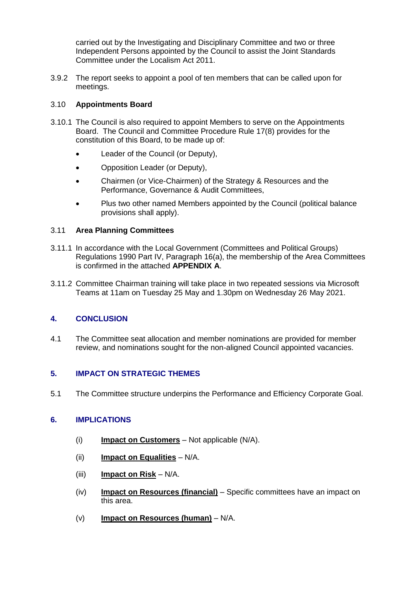carried out by the Investigating and Disciplinary Committee and two or three Independent Persons appointed by the Council to assist the Joint Standards Committee under the Localism Act 2011.

3.9.2 The report seeks to appoint a pool of ten members that can be called upon for meetings.

# 3.10 **Appointments Board**

- 3.10.1 The Council is also required to appoint Members to serve on the Appointments Board. The Council and Committee Procedure Rule 17(8) provides for the constitution of this Board, to be made up of:
	- Leader of the Council (or Deputy),
	- Opposition Leader (or Deputy),
	- Chairmen (or Vice-Chairmen) of the Strategy & Resources and the Performance, Governance & Audit Committees,
	- Plus two other named Members appointed by the Council (political balance provisions shall apply).

### 3.11 **Area Planning Committees**

- 3.11.1 In accordance with the Local Government (Committees and Political Groups) Regulations 1990 Part IV, Paragraph 16(a), the membership of the Area Committees is confirmed in the attached **APPENDIX A**.
- 3.11.2 Committee Chairman training will take place in two repeated sessions via Microsoft Teams at 11am on Tuesday 25 May and 1.30pm on Wednesday 26. May 2021.

# **4. CONCLUSION**

4.1 The Committee seat allocation and member nominations are provided for member review, and nominations sought for the non-aligned Council appointed vacancies.

# **5. IMPACT ON STRATEGIC THEMES**

5.1 The Committee structure underpins the Performance and Efficiency Corporate Goal.

# **6. IMPLICATIONS**

- (i) **Impact on Customers** Not applicable (N/A).
- (ii) **Impact on Equalities** N/A.
- (iii) **Impact on Risk** N/A.
- (iv) **Impact on Resources (financial)** Specific committees have an impact on this area.
- (v) **Impact on Resources (human)** N/A.